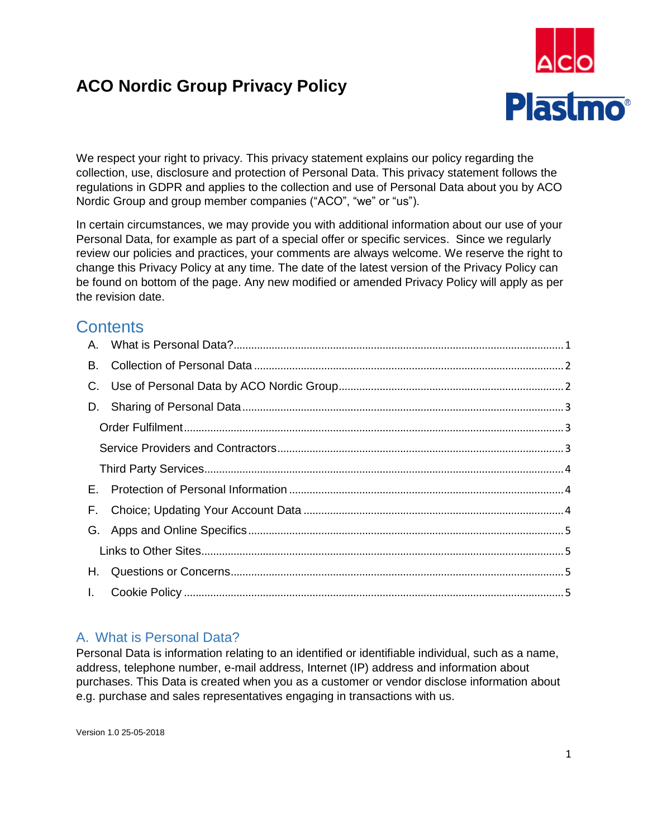# **ACO Nordic Group Privacy Policy**



We respect your right to privacy. This privacy statement explains our policy regarding the collection, use, disclosure and protection of Personal Data. This privacy statement follows the regulations in GDPR and applies to the collection and use of Personal Data about you by ACO Nordic Group and group member companies ("ACO", "we" or "us").

In certain circumstances, we may provide you with additional information about our use of your Personal Data, for example as part of a special offer or specific services. Since we regularly review our policies and practices, your comments are always welcome. We reserve the right to change this Privacy Policy at any time. The date of the latest version of the Privacy Policy can be found on bottom of the page. Any new modified or amended Privacy Policy will apply as per the revision date.

# **Contents**

| В. |  |  |
|----|--|--|
| C. |  |  |
|    |  |  |
|    |  |  |
|    |  |  |
|    |  |  |
| Е. |  |  |
| F. |  |  |
| G. |  |  |
|    |  |  |
| H. |  |  |
| Ι. |  |  |

## <span id="page-0-0"></span>A. What is Personal Data?

Personal Data is information relating to an identified or identifiable individual, such as a name, address, telephone number, e-mail address, Internet (IP) address and information about purchases. This Data is created when you as a customer or vendor disclose information about e.g. purchase and sales representatives engaging in transactions with us.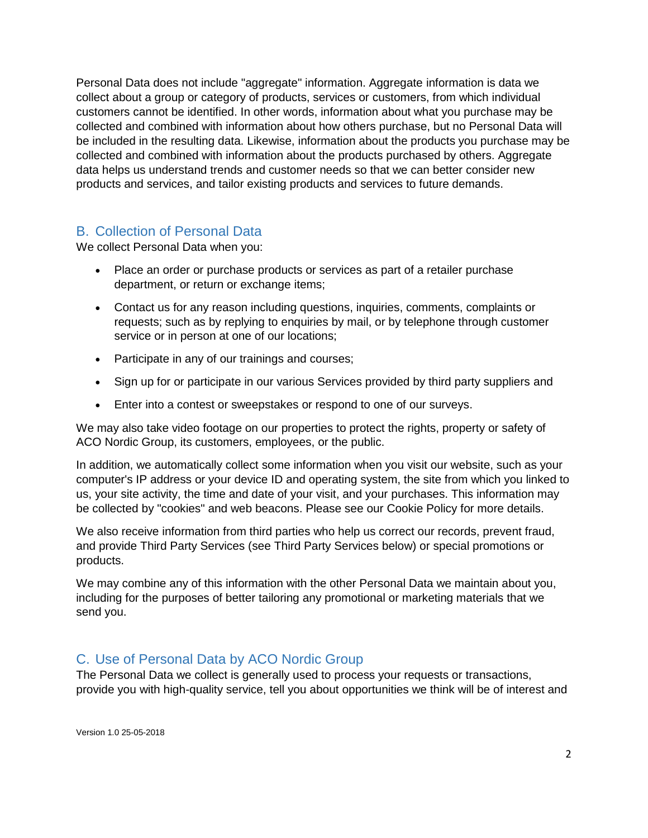Personal Data does not include "aggregate" information. Aggregate information is data we collect about a group or category of products, services or customers, from which individual customers cannot be identified. In other words, information about what you purchase may be collected and combined with information about how others purchase, but no Personal Data will be included in the resulting data. Likewise, information about the products you purchase may be collected and combined with information about the products purchased by others. Aggregate data helps us understand trends and customer needs so that we can better consider new products and services, and tailor existing products and services to future demands.

## <span id="page-1-0"></span>B. Collection of Personal Data

We collect Personal Data when you:

- Place an order or purchase products or services as part of a retailer purchase department, or return or exchange items;
- Contact us for any reason including questions, inquiries, comments, complaints or requests; such as by replying to enquiries by mail, or by telephone through customer service or in person at one of our locations;
- Participate in any of our trainings and courses;
- Sign up for or participate in our various Services provided by third party suppliers and
- Enter into a contest or sweepstakes or respond to one of our surveys.

We may also take video footage on our properties to protect the rights, property or safety of ACO Nordic Group, its customers, employees, or the public.

In addition, we automatically collect some information when you visit our website, such as your computer's IP address or your device ID and operating system, the site from which you linked to us, your site activity, the time and date of your visit, and your purchases. This information may be collected by "cookies" and web beacons. Please see our Cookie Policy for more details.

We also receive information from third parties who help us correct our records, prevent fraud, and provide Third Party Services (see Third Party Services below) or special promotions or products.

We may combine any of this information with the other Personal Data we maintain about you, including for the purposes of better tailoring any promotional or marketing materials that we send you.

## <span id="page-1-1"></span>C. Use of Personal Data by ACO Nordic Group

The Personal Data we collect is generally used to process your requests or transactions, provide you with high-quality service, tell you about opportunities we think will be of interest and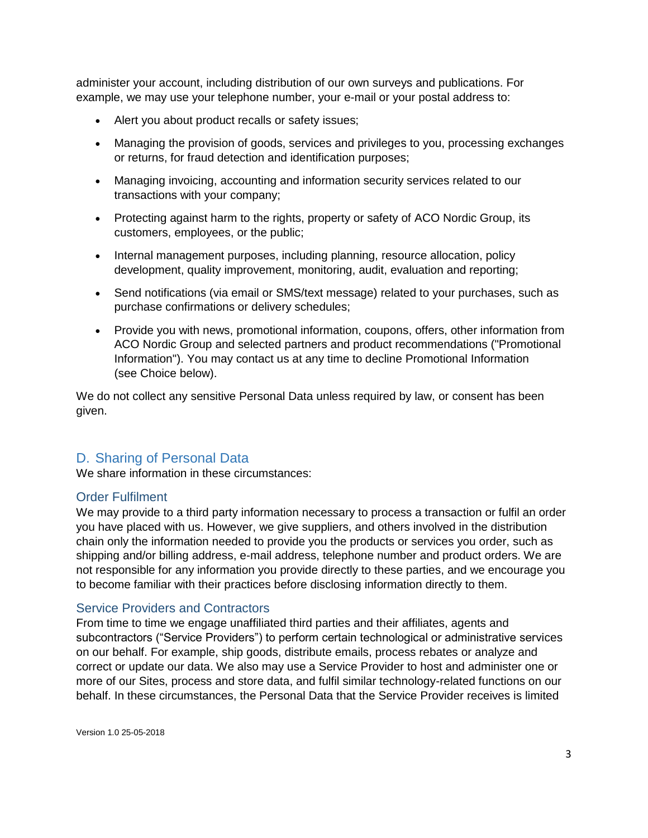administer your account, including distribution of our own surveys and publications. For example, we may use your telephone number, your e-mail or your postal address to:

- Alert you about product recalls or safety issues;
- Managing the provision of goods, services and privileges to you, processing exchanges or returns, for fraud detection and identification purposes;
- Managing invoicing, accounting and information security services related to our transactions with your company;
- Protecting against harm to the rights, property or safety of ACO Nordic Group, its customers, employees, or the public;
- Internal management purposes, including planning, resource allocation, policy development, quality improvement, monitoring, audit, evaluation and reporting;
- Send notifications (via email or SMS/text message) related to your purchases, such as purchase confirmations or delivery schedules;
- Provide you with news, promotional information, coupons, offers, other information from ACO Nordic Group and selected partners and product recommendations ("Promotional Information"). You may contact us at any time to decline Promotional Information (see Choice below).

We do not collect any sensitive Personal Data unless required by law, or consent has been given.

## <span id="page-2-0"></span>D. Sharing of Personal Data

We share information in these circumstances:

#### <span id="page-2-1"></span>Order Fulfilment

We may provide to a third party information necessary to process a transaction or fulfil an order you have placed with us. However, we give suppliers, and others involved in the distribution chain only the information needed to provide you the products or services you order, such as shipping and/or billing address, e-mail address, telephone number and product orders. We are not responsible for any information you provide directly to these parties, and we encourage you to become familiar with their practices before disclosing information directly to them.

#### <span id="page-2-2"></span>Service Providers and Contractors

From time to time we engage unaffiliated third parties and their affiliates, agents and subcontractors ("Service Providers") to perform certain technological or administrative services on our behalf. For example, ship goods, distribute emails, process rebates or analyze and correct or update our data. We also may use a Service Provider to host and administer one or more of our Sites, process and store data, and fulfil similar technology-related functions on our behalf. In these circumstances, the Personal Data that the Service Provider receives is limited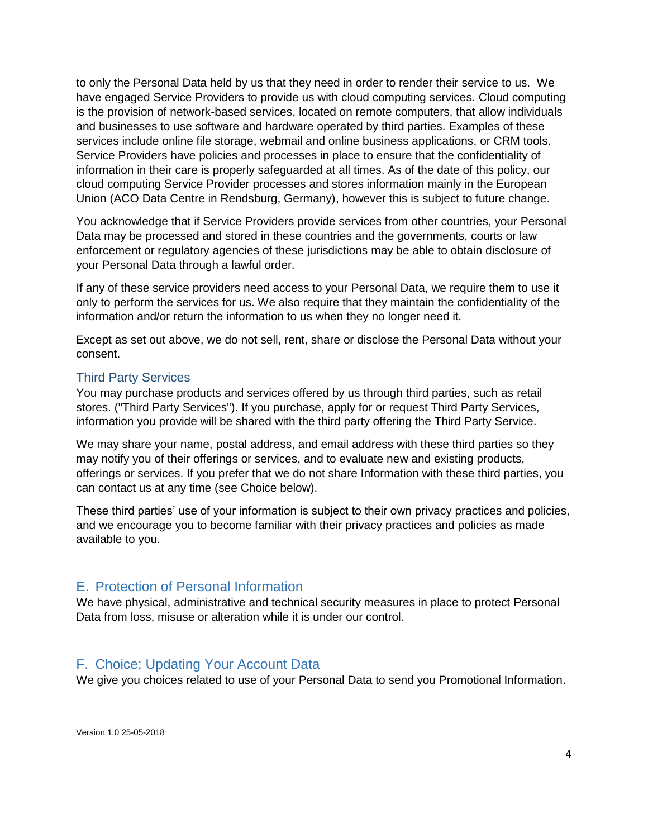to only the Personal Data held by us that they need in order to render their service to us. We have engaged Service Providers to provide us with cloud computing services. Cloud computing is the provision of network-based services, located on remote computers, that allow individuals and businesses to use software and hardware operated by third parties. Examples of these services include online file storage, webmail and online business applications, or CRM tools. Service Providers have policies and processes in place to ensure that the confidentiality of information in their care is properly safeguarded at all times. As of the date of this policy, our cloud computing Service Provider processes and stores information mainly in the European Union (ACO Data Centre in Rendsburg, Germany), however this is subject to future change.

You acknowledge that if Service Providers provide services from other countries, your Personal Data may be processed and stored in these countries and the governments, courts or law enforcement or regulatory agencies of these jurisdictions may be able to obtain disclosure of your Personal Data through a lawful order.

If any of these service providers need access to your Personal Data, we require them to use it only to perform the services for us. We also require that they maintain the confidentiality of the information and/or return the information to us when they no longer need it.

Except as set out above, we do not sell, rent, share or disclose the Personal Data without your consent.

#### <span id="page-3-0"></span>Third Party Services

You may purchase products and services offered by us through third parties, such as retail stores. ("Third Party Services"). If you purchase, apply for or request Third Party Services, information you provide will be shared with the third party offering the Third Party Service.

We may share your name, postal address, and email address with these third parties so they may notify you of their offerings or services, and to evaluate new and existing products, offerings or services. If you prefer that we do not share Information with these third parties, you can contact us at any time (see Choice below).

These third parties' use of your information is subject to their own privacy practices and policies, and we encourage you to become familiar with their privacy practices and policies as made available to you.

#### <span id="page-3-1"></span>E. Protection of Personal Information

We have physical, administrative and technical security measures in place to protect Personal Data from loss, misuse or alteration while it is under our control.

#### <span id="page-3-2"></span>F. Choice; Updating Your Account Data

We give you choices related to use of your Personal Data to send you Promotional Information.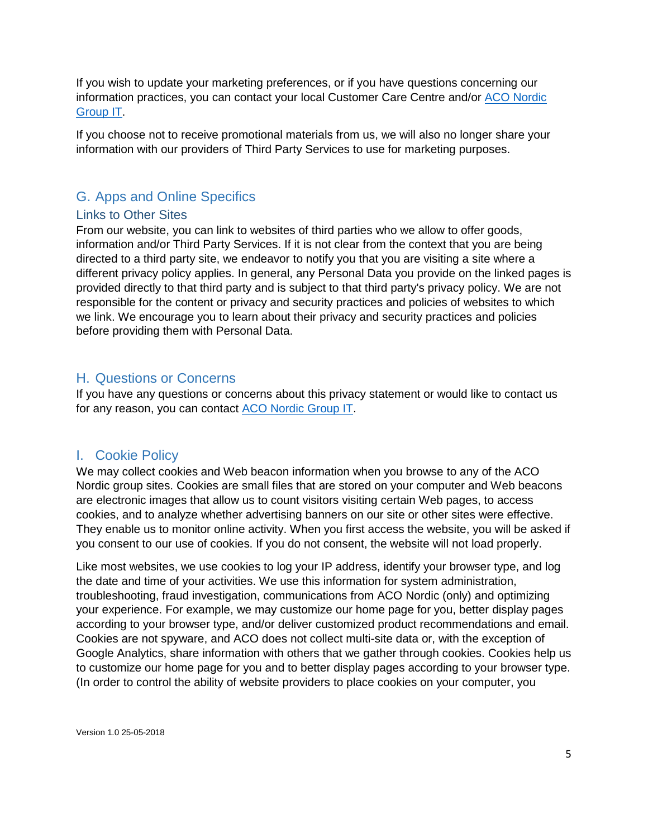If you wish to update your marketing preferences, or if you have questions concerning our information practices, you can contact your local Customer Care Centre and/or [ACO Nordic](mailto:gdpr-nordic@aco.com?subject=GDPR)  [Group IT.](mailto:gdpr-nordic@aco.com?subject=GDPR)

If you choose not to receive promotional materials from us, we will also no longer share your information with our providers of Third Party Services to use for marketing purposes.

## <span id="page-4-0"></span>G. Apps and Online Specifics

#### <span id="page-4-1"></span>Links to Other Sites

From our website, you can link to websites of third parties who we allow to offer goods, information and/or Third Party Services. If it is not clear from the context that you are being directed to a third party site, we endeavor to notify you that you are visiting a site where a different privacy policy applies. In general, any Personal Data you provide on the linked pages is provided directly to that third party and is subject to that third party's privacy policy. We are not responsible for the content or privacy and security practices and policies of websites to which we link. We encourage you to learn about their privacy and security practices and policies before providing them with Personal Data.

### <span id="page-4-2"></span>H. Questions or Concerns

If you have any questions or concerns about this privacy statement or would like to contact us for any reason, you can contact [ACO Nordic](mailto:gdpr-nordic@aco.com?subject=GDPR) Group IT.

### <span id="page-4-3"></span>I. Cookie Policy

We may collect cookies and Web beacon information when you browse to any of the ACO Nordic group sites. Cookies are small files that are stored on your computer and Web beacons are electronic images that allow us to count visitors visiting certain Web pages, to access cookies, and to analyze whether advertising banners on our site or other sites were effective. They enable us to monitor online activity. When you first access the website, you will be asked if you consent to our use of cookies. If you do not consent, the website will not load properly.

Like most websites, we use cookies to log your IP address, identify your browser type, and log the date and time of your activities. We use this information for system administration, troubleshooting, fraud investigation, communications from ACO Nordic (only) and optimizing your experience. For example, we may customize our home page for you, better display pages according to your browser type, and/or deliver customized product recommendations and email. Cookies are not spyware, and ACO does not collect multi-site data or, with the exception of Google Analytics, share information with others that we gather through cookies. Cookies help us to customize our home page for you and to better display pages according to your browser type. (In order to control the ability of website providers to place cookies on your computer, you